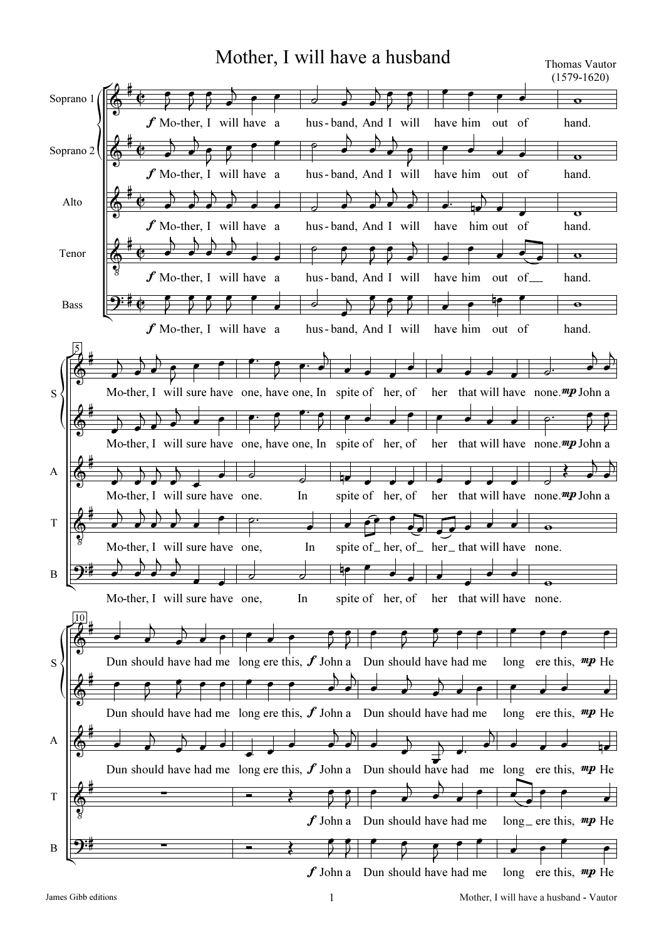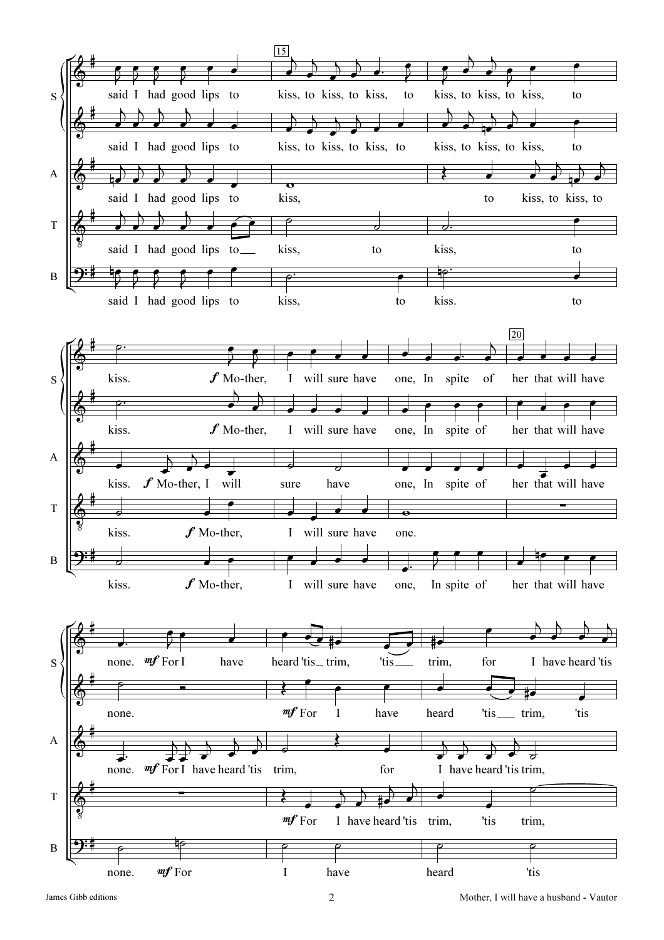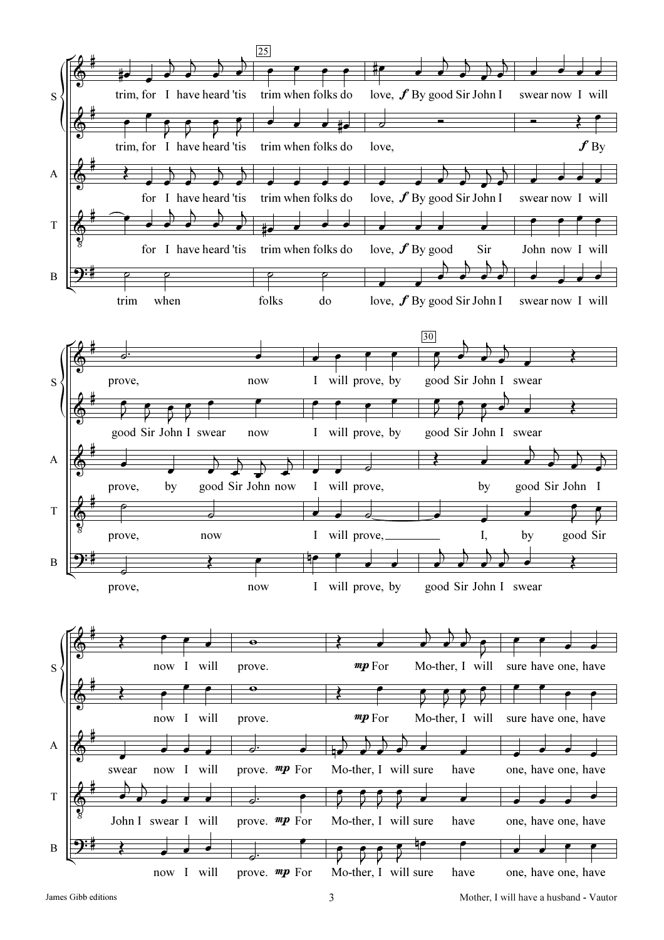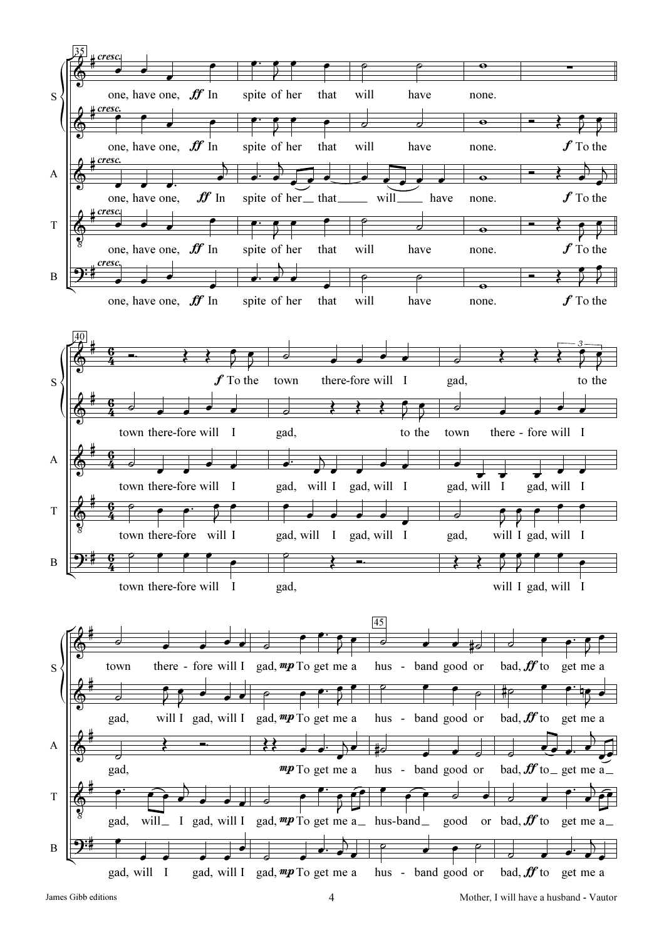